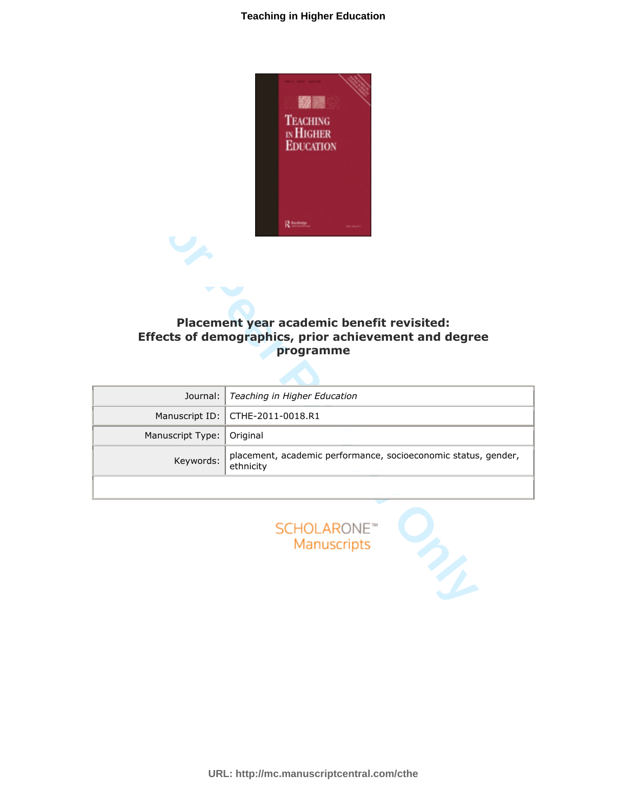

# Placement year academic benefit revisited: Effects of demographics, prior achievement and degree programme

|                  | <b>R</b> fourfiedge<br>Placement year academic benefit revisited:<br>Effects of demographics, prior achievement and degree<br>programme |
|------------------|-----------------------------------------------------------------------------------------------------------------------------------------|
| Journal:         | Teaching in Higher Education                                                                                                            |
| Manuscript ID:   | CTHE-2011-0018.R1                                                                                                                       |
| Manuscript Type: | Original                                                                                                                                |
| Keywords:        | placement, academic performance, socioeconomic status, gender,<br>ethnicity                                                             |
|                  |                                                                                                                                         |
|                  | <b>SCHOLARONE™</b><br>Manuscripts                                                                                                       |



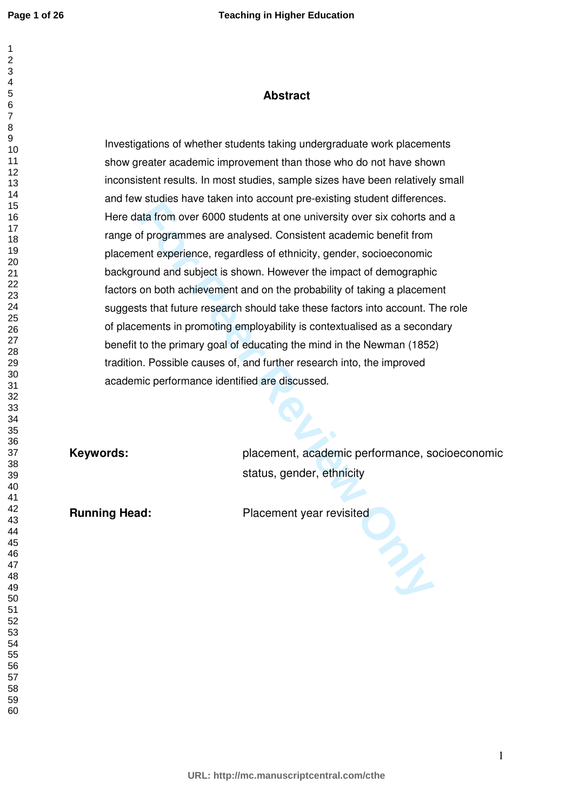#### 

 

# **Abstract**

For example the contribute control that from over 6000 students at one university over six cohorts at for programmes are analysed. Consistent academic benefit from ent experience, regardless of ethnicity, gender, socioecon Investigations of whether students taking undergraduate work placements show greater academic improvement than those who do not have shown inconsistent results. In most studies, sample sizes have been relatively small and few studies have taken into account pre-existing student differences. Here data from over 6000 students at one university over six cohorts and a range of programmes are analysed. Consistent academic benefit from placement experience, regardless of ethnicity, gender, socioeconomic background and subject is shown. However the impact of demographic factors on both achievement and on the probability of taking a placement suggests that future research should take these factors into account. The role of placements in promoting employability is contextualised as a secondary benefit to the primary goal of educating the mind in the Newman (1852) tradition. Possible causes of, and further research into, the improved academic performance identified are discussed.

**Keywords:** placement, academic performance, socioeconomic status, gender, ethnicity

**Running Head:** Placement year revisited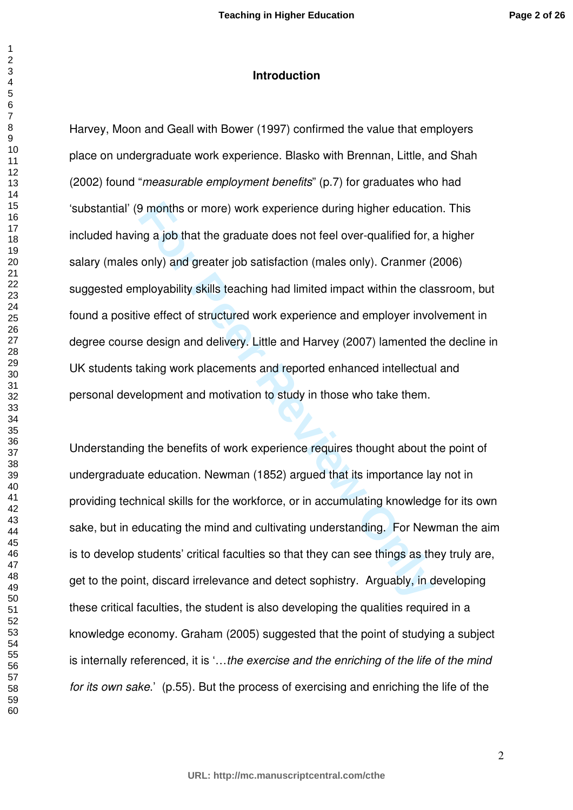### **Introduction**

**For Properties and Solution Constrained Solution Solution** Solution that the strategies and feel over-qualified for, a only) and greater job satisfaction (males only). Cranmer (a ployability skills teaching had limited im Harvey, Moon and Geall with Bower (1997) confirmed the value that employers place on undergraduate work experience. Blasko with Brennan, Little, and Shah (2002) found "*measurable employment benefits*" (p.7) for graduates who had 'substantial' (9 months or more) work experience during higher education. This included having a job that the graduate does not feel over-qualified for, a higher salary (males only) and greater job satisfaction (males only). Cranmer (2006) suggested employability skills teaching had limited impact within the classroom, but found a positive effect of structured work experience and employer involvement in degree course design and delivery. Little and Harvey (2007) lamented the decline in UK students taking work placements and reported enhanced intellectual and personal development and motivation to study in those who take them.

Understanding the benefits of work experience requires thought about the point of undergraduate education. Newman (1852) argued that its importance lay not in providing technical skills for the workforce, or in accumulating knowledge for its own sake, but in educating the mind and cultivating understanding. For Newman the aim is to develop students' critical faculties so that they can see things as they truly are, get to the point, discard irrelevance and detect sophistry. Arguably, in developing these critical faculties, the student is also developing the qualities required in a knowledge economy. Graham (2005) suggested that the point of studying a subject is internally referenced, it is '…*the exercise and the enriching of the life of the mind for its own sake*.' (p.55). But the process of exercising and enriching the life of the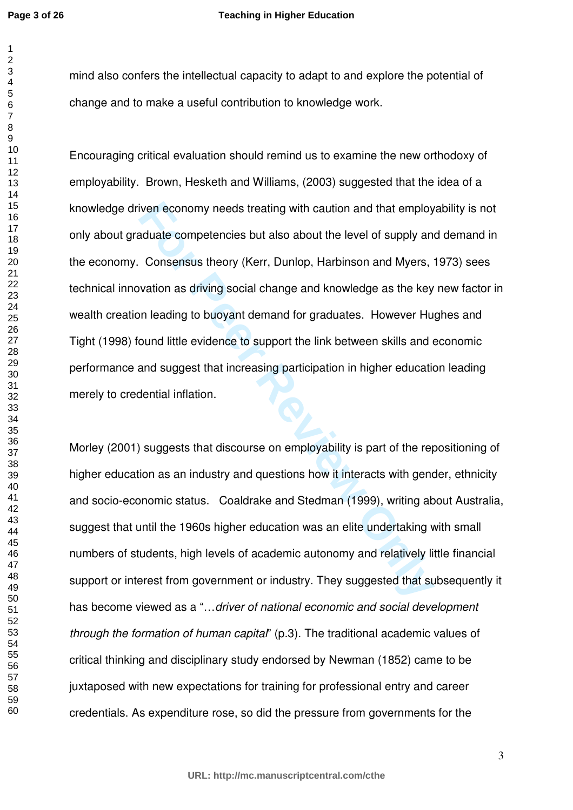#### **Teaching in Higher Education**

mind also confers the intellectual capacity to adapt to and explore the potential of change and to make a useful contribution to knowledge work.

iven economy needs treating with caution and that employ<br>aduate competencies but also about the level of supply and<br>Consensus theory (Kerr, Dunlop, Harbinson and Myers, ivation as driving social change and knowledge as the Encouraging critical evaluation should remind us to examine the new orthodoxy of employability. Brown, Hesketh and Williams, (2003) suggested that the idea of a knowledge driven economy needs treating with caution and that employability is not only about graduate competencies but also about the level of supply and demand in the economy. Consensus theory (Kerr, Dunlop, Harbinson and Myers, 1973) sees technical innovation as driving social change and knowledge as the key new factor in wealth creation leading to buoyant demand for graduates. However Hughes and Tight (1998) found little evidence to support the link between skills and economic performance and suggest that increasing participation in higher education leading merely to credential inflation.

Morley (2001) suggests that discourse on employability is part of the repositioning of higher education as an industry and questions how it interacts with gender, ethnicity and socio-economic status. Coaldrake and Stedman (1999), writing about Australia, suggest that until the 1960s higher education was an elite undertaking with small numbers of students, high levels of academic autonomy and relatively little financial support or interest from government or industry. They suggested that subsequently it has become viewed as a "…*driver of national economic and social development through the formation of human capital*" (p.3). The traditional academic values of critical thinking and disciplinary study endorsed by Newman (1852) came to be juxtaposed with new expectations for training for professional entry and career credentials. As expenditure rose, so did the pressure from governments for the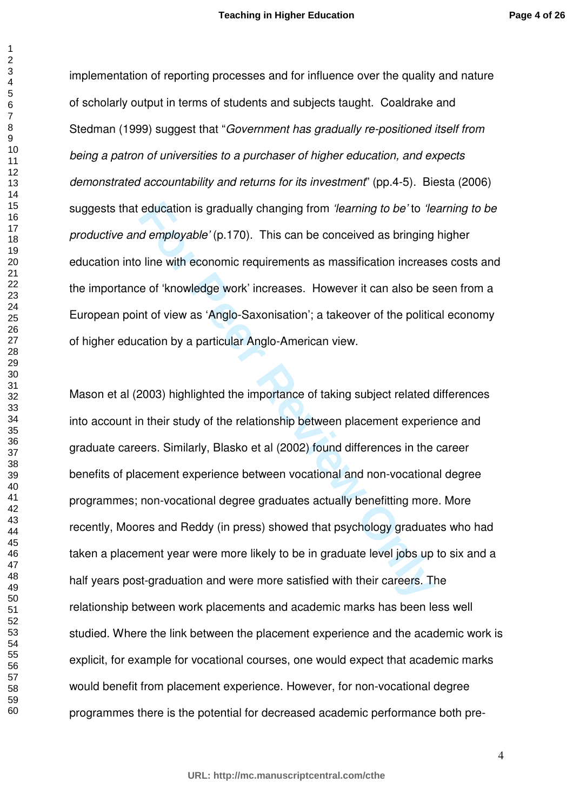implementation of reporting processes and for influence over the quality and nature of scholarly output in terms of students and subjects taught. Coaldrake and Stedman (1999) suggest that "*Government has gradually re-positioned itself from being a patron of universities to a purchaser of higher education, and expects demonstrated accountability and returns for its investment*" (pp.4-5). Biesta (2006) suggests that education is gradually changing from *'learning to be'* to *'learning to be productive and employable'* (p.170). This can be conceived as bringing higher education into line with economic requirements as massification increases costs and the importance of 'knowledge work' increases. However it can also be seen from a European point of view as 'Anglo-Saxonisation'; a takeover of the political economy of higher education by a particular Anglo-American view.

education is gradually changing from *'learning to be'* to *'le*<br>*d employable'* (p.170). This can be conceived as bringing<br>line with economic requirements as massification increase<br>e of 'knowledge work' increases. However Mason et al (2003) highlighted the importance of taking subject related differences into account in their study of the relationship between placement experience and graduate careers. Similarly, Blasko et al (2002) found differences in the career benefits of placement experience between vocational and non-vocational degree programmes; non-vocational degree graduates actually benefitting more. More recently, Moores and Reddy (in press) showed that psychology graduates who had taken a placement year were more likely to be in graduate level jobs up to six and a half years post-graduation and were more satisfied with their careers. The relationship between work placements and academic marks has been less well studied. Where the link between the placement experience and the academic work is explicit, for example for vocational courses, one would expect that academic marks would benefit from placement experience. However, for non-vocational degree programmes there is the potential for decreased academic performance both pre-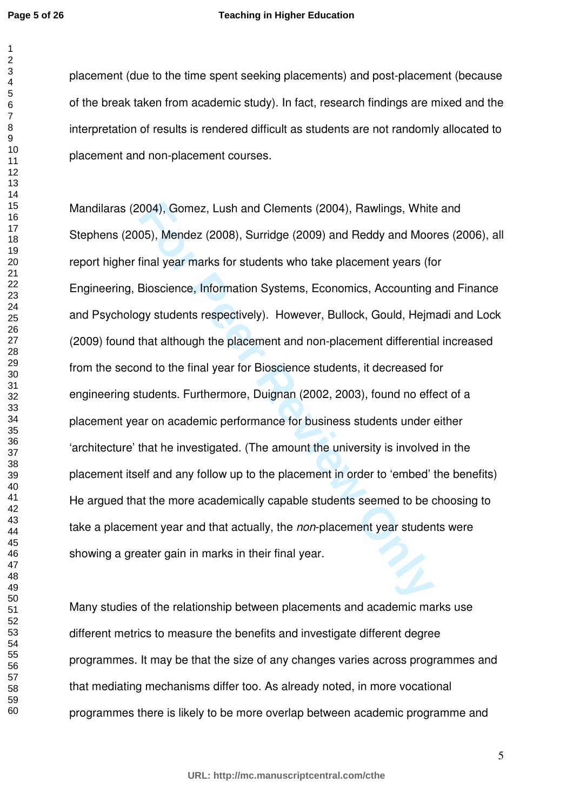#### **Teaching in Higher Education**

placement (due to the time spent seeking placements) and post-placement (because of the break taken from academic study). In fact, research findings are mixed and the interpretation of results is rendered difficult as students are not randomly allocated to placement and non-placement courses.

004), Gomez, Lush and Clements (2004), Rawlings, White<br>05), Mendez (2008), Surridge (2009) and Reddy and Moor<br>final year marks for students who take placement years (fc<br>Bioscience, Information Systems, Economics, Accountin Mandilaras (2004), Gomez, Lush and Clements (2004), Rawlings, White and Stephens (2005), Mendez (2008), Surridge (2009) and Reddy and Moores (2006), all report higher final year marks for students who take placement years (for Engineering, Bioscience, Information Systems, Economics, Accounting and Finance and Psychology students respectively). However, Bullock, Gould, Hejmadi and Lock (2009) found that although the placement and non-placement differential increased from the second to the final year for Bioscience students, it decreased for engineering students. Furthermore, Duignan (2002, 2003), found no effect of a placement year on academic performance for business students under either 'architecture' that he investigated. (The amount the university is involved in the placement itself and any follow up to the placement in order to 'embed' the benefits) He argued that the more academically capable students seemed to be choosing to take a placement year and that actually, the *non*-placement year students were showing a greater gain in marks in their final year.

Many studies of the relationship between placements and academic marks use different metrics to measure the benefits and investigate different degree programmes. It may be that the size of any changes varies across programmes and that mediating mechanisms differ too. As already noted, in more vocational programmes there is likely to be more overlap between academic programme and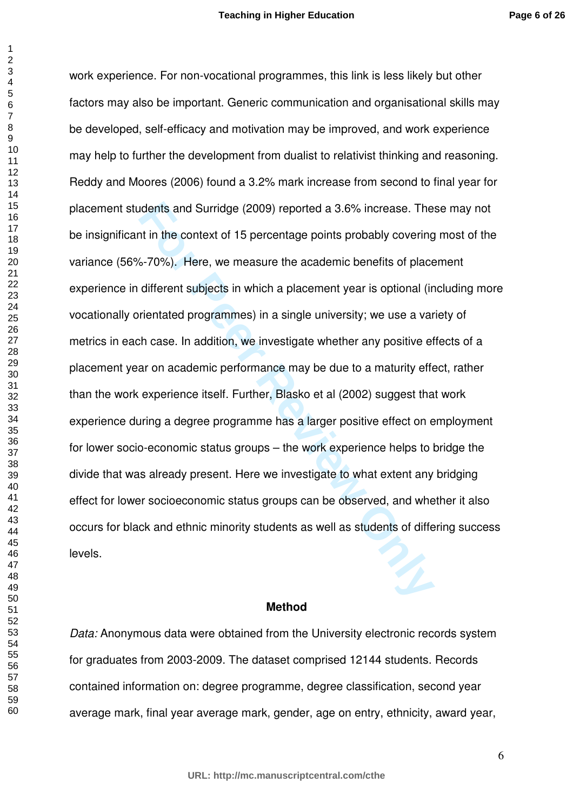dents and Surridge (2009) reported a 3.6% increase. The<br>the in the context of 15 percentage points probably covering<br>6-70%). Here, we measure the academic benefits of place<br>different subjects in which a placement year is o work experience. For non-vocational programmes, this link is less likely but other factors may also be important. Generic communication and organisational skills may be developed, self-efficacy and motivation may be improved, and work experience may help to further the development from dualist to relativist thinking and reasoning. Reddy and Moores (2006) found a 3.2% mark increase from second to final year for placement students and Surridge (2009) reported a 3.6% increase. These may not be insignificant in the context of 15 percentage points probably covering most of the variance (56%-70%). Here, we measure the academic benefits of placement experience in different subjects in which a placement year is optional (including more vocationally orientated programmes) in a single university; we use a variety of metrics in each case. In addition, we investigate whether any positive effects of a placement year on academic performance may be due to a maturity effect, rather than the work experience itself. Further, Blasko et al (2002) suggest that work experience during a degree programme has a larger positive effect on employment for lower socio-economic status groups – the work experience helps to bridge the divide that was already present. Here we investigate to what extent any bridging effect for lower socioeconomic status groups can be observed, and whether it also occurs for black and ethnic minority students as well as students of differing success levels.

## **Method**

*Data:* Anonymous data were obtained from the University electronic records system for graduates from 2003-2009. The dataset comprised 12144 students. Records contained information on: degree programme, degree classification, second year average mark, final year average mark, gender, age on entry, ethnicity, award year,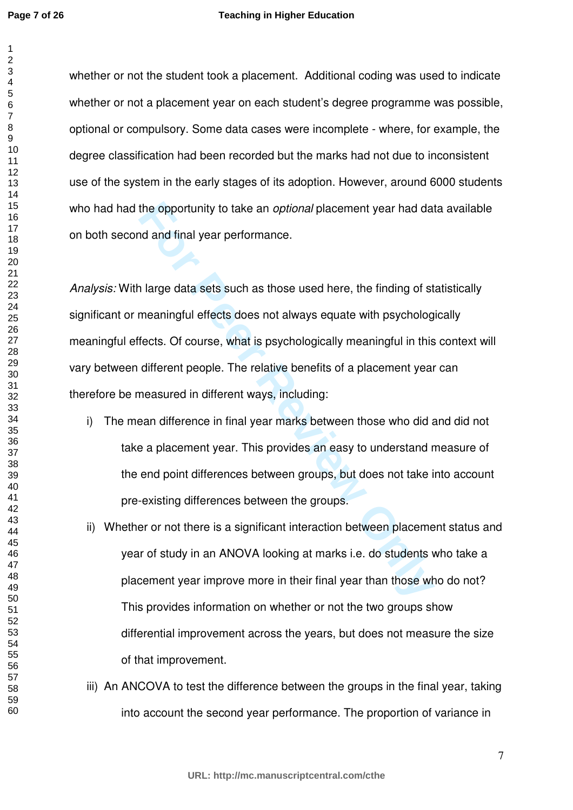#### **Teaching in Higher Education**

whether or not the student took a placement. Additional coding was used to indicate whether or not a placement year on each student's degree programme was possible, optional or compulsory. Some data cases were incomplete - where, for example, the degree classification had been recorded but the marks had not due to inconsistent use of the system in the early stages of its adoption. However, around 6000 students who had had the opportunity to take an *optional* placement year had data available on both second and final year performance.

the opportunity to take an *optional* placement year had date and final year performance.<br>
I large data sets such as those used here, the finding of st<br>
meaningful effects does not always equate with psycholog<br>
fects. Of c *Analysis:* With large data sets such as those used here, the finding of statistically significant or meaningful effects does not always equate with psychologically meaningful effects. Of course, what is psychologically meaningful in this context will vary between different people. The relative benefits of a placement year can therefore be measured in different ways, including:

- i) The mean difference in final year marks between those who did and did not take a placement year. This provides an easy to understand measure of the end point differences between groups, but does not take into account pre-existing differences between the groups.
- ii) Whether or not there is a significant interaction between placement status and year of study in an ANOVA looking at marks i.e. do students who take a placement year improve more in their final year than those who do not? This provides information on whether or not the two groups show differential improvement across the years, but does not measure the size of that improvement.
- iii) An ANCOVA to test the difference between the groups in the final year, taking into account the second year performance. The proportion of variance in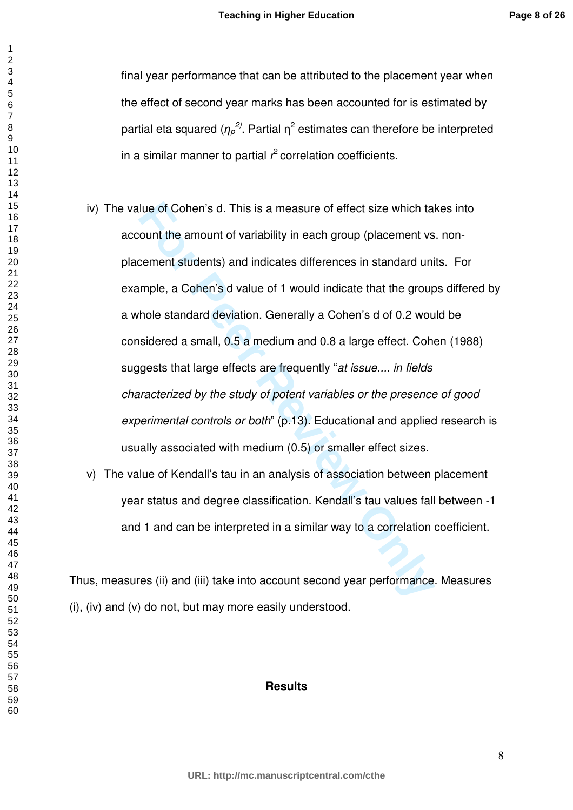final year performance that can be attributed to the placement year when the effect of second year marks has been accounted for is estimated by partial eta squared ( $\eta_{\rho}^{\,2)}$ . Partial  $\eta^2$  estimates can therefore be interpreted in a similar manner to partial  $r^2$  correlation coefficients.

- lue of Cohen's d. This is a measure of effect size which ta<br>ount the amount of variability in each group (placement vs<br>cement students) and indicates differences in standard unimple, a Cohen's d value of 1 would indicate t iv) The value of Cohen's d. This is a measure of effect size which takes into account the amount of variability in each group (placement vs. nonplacement students) and indicates differences in standard units. For example, a Cohen's d value of 1 would indicate that the groups differed by a whole standard deviation. Generally a Cohen's d of 0.2 would be considered a small, 0.5 a medium and 0.8 a large effect. Cohen (1988) suggests that large effects are frequently "*at issue.... in fields characterized by the study of potent variables or the presence of good experimental controls or both*" (p.13). Educational and applied research is usually associated with medium (0.5) or smaller effect sizes.
- v) The value of Kendall's tau in an analysis of association between placement year status and degree classification. Kendall's tau values fall between -1 and 1 and can be interpreted in a similar way to a correlation coefficient.

Thus, measures (ii) and (iii) take into account second year performance. Measures (i), (iv) and (v) do not, but may more easily understood.

# **Results**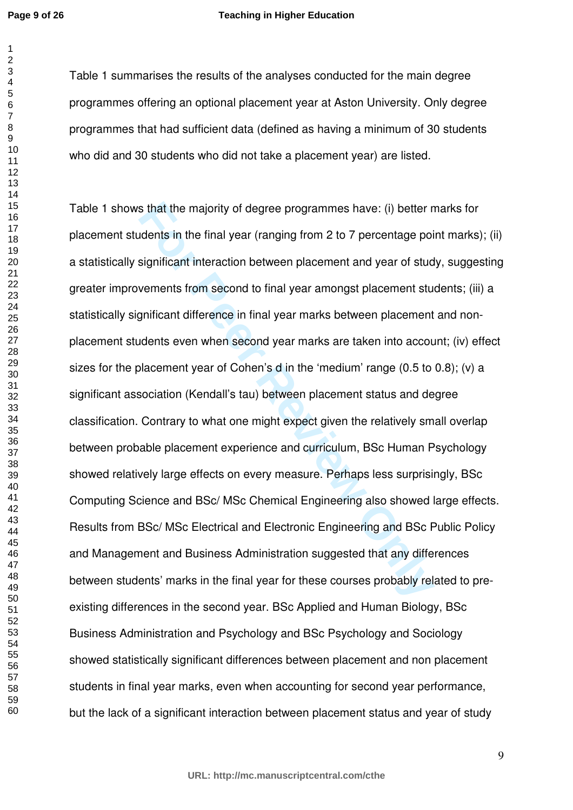**Page 9 of 26**

 

#### **Teaching in Higher Education**

Table 1 summarises the results of the analyses conducted for the main degree programmes offering an optional placement year at Aston University. Only degree programmes that had sufficient data (defined as having a minimum of 30 students who did and 30 students who did not take a placement year) are listed.

s that the majority of degree programmes have: (i) better n<br>
idents in the final year (ranging from 2 to 7 percentage poi<br>
significant interaction between placement and year of stud<br>
verments from second to final year amon Table 1 shows that the majority of degree programmes have: (i) better marks for placement students in the final year (ranging from 2 to 7 percentage point marks); (ii) a statistically significant interaction between placement and year of study, suggesting greater improvements from second to final year amongst placement students; (iii) a statistically significant difference in final year marks between placement and nonplacement students even when second year marks are taken into account; (iv) effect sizes for the placement year of Cohen's d in the 'medium' range (0.5 to 0.8); (v) a significant association (Kendall's tau) between placement status and degree classification. Contrary to what one might expect given the relatively small overlap between probable placement experience and curriculum, BSc Human Psychology showed relatively large effects on every measure. Perhaps less surprisingly, BSc Computing Science and BSc/ MSc Chemical Engineering also showed large effects. Results from BSc/ MSc Electrical and Electronic Engineering and BSc Public Policy and Management and Business Administration suggested that any differences between students' marks in the final year for these courses probably related to preexisting differences in the second year. BSc Applied and Human Biology, BSc Business Administration and Psychology and BSc Psychology and Sociology showed statistically significant differences between placement and non placement students in final year marks, even when accounting for second year performance, but the lack of a significant interaction between placement status and year of study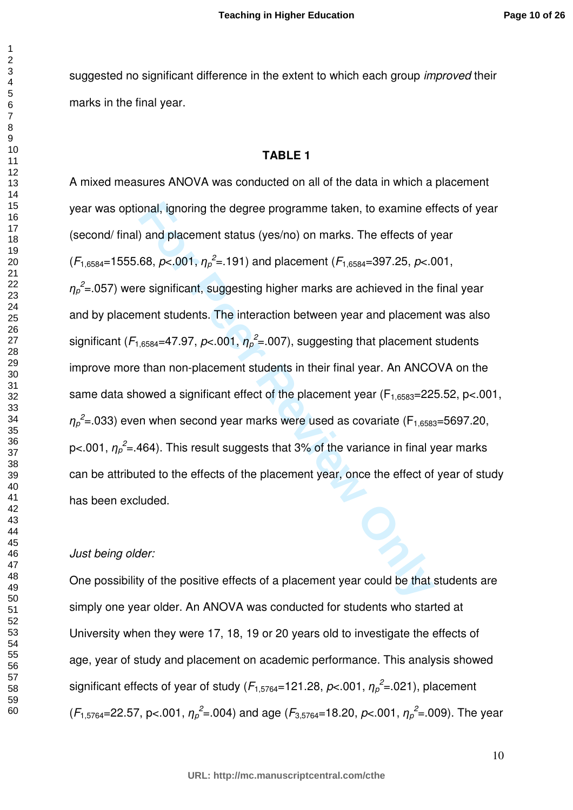suggested no significant difference in the extent to which each group *improved* their marks in the final year.

# **TABLE 1**

onal, ignoring the degree programme taken, to examine ef<br>
and placement status (yes/no) on marks. The effects of y<br>
68,  $p<sub>0</sub>001$ ,  $\eta_p^2 = .191$ ) and placement ( $F_{1,6584}$ =397.25,  $p<sub>0</sub>$ C.<br>
e significant, suggesti A mixed measures ANOVA was conducted on all of the data in which a placement year was optional, ignoring the degree programme taken, to examine effects of year (second/ final) and placement status (yes/no) on marks. The effects of year  $(F_{1,6584}=1555.68, p<.001, \eta_p^2=191)$  and placement  $(F_{1,6584}=397.25, p<.001,$  ${\eta_{\rho}}^2$ =.057) were significant, suggesting higher marks are achieved in the final year and by placement students. The interaction between year and placement was also significant ( $F_{1,6584}$ =47.97,  $p$ <.001,  $\eta_p^2$ =.007), suggesting that placement students improve more than non-placement students in their final year. An ANCOVA on the same data showed a significant effect of the placement year ( $F_{1.6583}=225.52$ , p<.001,  ${\eta_\rho}^2$ =.033) even when second year marks were used as covariate (F<sub>1,6583</sub>=5697.20, p<.001,  $\eta_p^2$ =.464). This result suggests that 3% of the variance in final year marks can be attributed to the effects of the placement year, once the effect of year of study has been excluded.

#### *Just being older:*

One possibility of the positive effects of a placement year could be that students are simply one year older. An ANOVA was conducted for students who started at University when they were 17, 18, 19 or 20 years old to investigate the effects of age, year of study and placement on academic performance. This analysis showed significant effects of year of study ( $F_{1,5764}$ =121.28,  $p<.001$ ,  $\eta_p^2$ =.021), placement  $(F_{1,5764} = 22.57, p< .001, \eta_p^2 = .004)$  and age  $(F_{3,5764} = 18.20, p< .001, \eta_p^2 = .009)$ . The year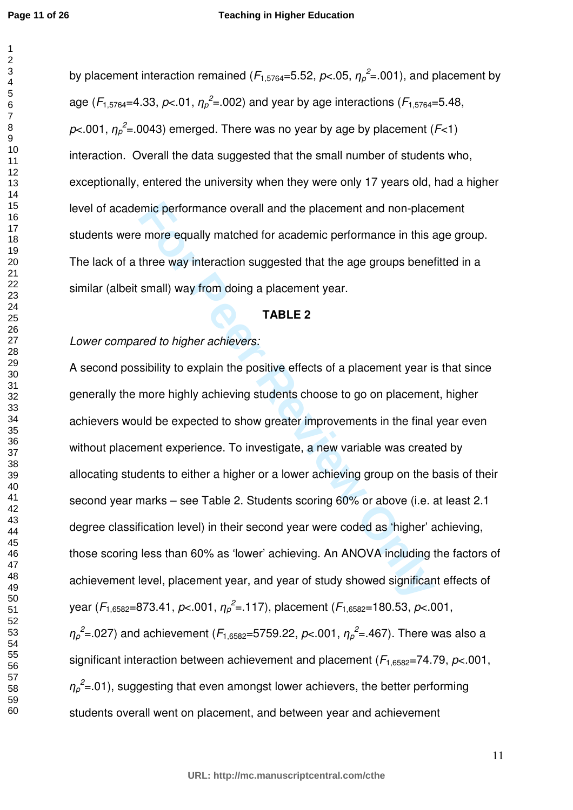by placement interaction remained ( $F_{1,5764}$ =5.52,  $p<$ .05,  $\eta_p^2$ =.001), and placement by age ( $F_{1,5764}$ =4.33,  $p$ <.01,  $\eta_p^2$ =.002) and year by age interactions ( $F_{1,5764}$ =5.48,  $p$ <.001,  $\eta_p^2$ =.0043) emerged. There was no year by age by placement (*F*<1) interaction. Overall the data suggested that the small number of students who, exceptionally, entered the university when they were only 17 years old, had a higher level of academic performance overall and the placement and non-placement students were more equally matched for academic performance in this age group. The lack of a three way interaction suggested that the age groups benefitted in a similar (albeit small) way from doing a placement year.

## **TABLE 2**

# *Lower compared to higher achievers:*

mic performance overall and the placement and non-place<br> **Exercise way interaction suggested that the age groups beneformance in this a**<br> **FIGUE 2**<br> **FIGUE 2**<br> **FIGUE 2**<br> **FIGUE 2**<br> **FIGUE 2**<br> **FIGUE 2**<br> **FIGUE 2**<br> **FIGUE** A second possibility to explain the positive effects of a placement year is that since generally the more highly achieving students choose to go on placement, higher achievers would be expected to show greater improvements in the final year even without placement experience. To investigate, a new variable was created by allocating students to either a higher or a lower achieving group on the basis of their second year marks – see Table 2. Students scoring 60% or above (i.e. at least 2.1 degree classification level) in their second year were coded as 'higher' achieving, those scoring less than 60% as 'lower' achieving. An ANOVA including the factors of achievement level, placement year, and year of study showed significant effects of year (*F*1,6582=873.41, *p*<.001, η*<sup>p</sup> 2* =.117), placement (*F*1,6582=180.53, *p*<.001,  ${\eta_{\rho}}^2$ =.027) and achievement ( $F_{1,6582}$ =5759.22, *p*<.001,  ${\eta_{\rho}}^2$ =.467). There was also a significant interaction between achievement and placement (*F*1,6582=74.79, *p*<.001,  ${\eta_{\rho}}^2$ =.01), suggesting that even amongst lower achievers, the better performing students overall went on placement, and between year and achievement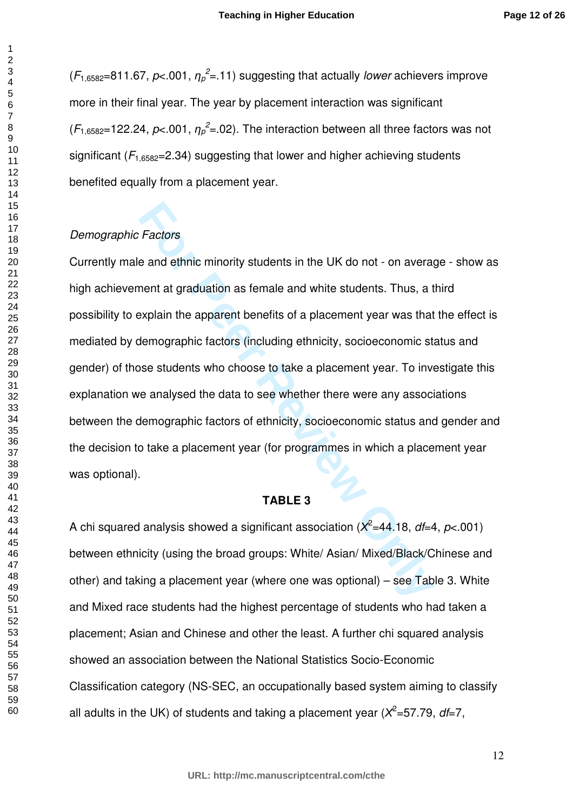$(F_{1,6582}=811.67, p<.001, \eta_p^2=11)$  suggesting that actually *lower* achievers improve more in their final year. The year by placement interaction was significant  $(F_{1,6582}=122.24, p<.001, \eta_p^2=02)$ . The interaction between all three factors was not significant  $(F<sub>1,6582</sub>=2.34)$  suggesting that lower and higher achieving students benefited equally from a placement year.

## *Demographic Factors*

*Factors*<br>
e and ethnic minority students in the UK do not - on average and the difference and white students. Thus, a texplain the apparent benefits of a placement year was that<br>
demographic factors (including ethnicity, Currently male and ethnic minority students in the UK do not - on average - show as high achievement at graduation as female and white students. Thus, a third possibility to explain the apparent benefits of a placement year was that the effect is mediated by demographic factors (including ethnicity, socioeconomic status and gender) of those students who choose to take a placement year. To investigate this explanation we analysed the data to see whether there were any associations between the demographic factors of ethnicity, socioeconomic status and gender and the decision to take a placement year (for programmes in which a placement year was optional).

# **TABLE 3**

A chi squared analysis showed a significant association (Χ 2 =44.18, *df*=4, *p*<.001) between ethnicity (using the broad groups: White/ Asian/ Mixed/Black/Chinese and other) and taking a placement year (where one was optional) – see Table 3. White and Mixed race students had the highest percentage of students who had taken a placement; Asian and Chinese and other the least. A further chi squared analysis showed an association between the National Statistics Socio-Economic Classification category (NS-SEC, an occupationally based system aiming to classify all adults in the UK) of students and taking a placement year (X<sup>2</sup>=57.79, df=7,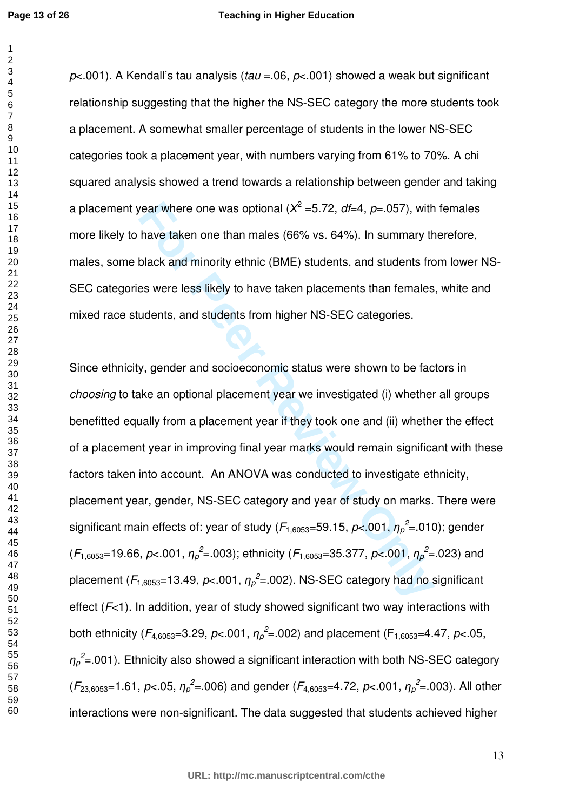#### **Teaching in Higher Education**

*p*<.001). A Kendall's tau analysis (*tau* =.06, *p*<.001) showed a weak but significant relationship suggesting that the higher the NS-SEC category the more students took a placement. A somewhat smaller percentage of students in the lower NS-SEC categories took a placement year, with numbers varying from 61% to 70%. A chi squared analysis showed a trend towards a relationship between gender and taking a placement year where one was optional (Χ 2 =5.72, *df*=4, *p*=.057), with females more likely to have taken one than males (66% vs. 64%). In summary therefore, males, some black and minority ethnic (BME) students, and students from lower NS-SEC categories were less likely to have taken placements than females, white and mixed race students, and students from higher NS-SEC categories.

**For Perambera Consuming (** $X^2 = 5.72$ **,**  $df=4$ **,**  $p=.057$ **), with<br>have taken one than males (66% vs. 64%). In summary th<br>black and minority ethnic (BME) students, and students frc<br>es were less likely to have taken placements t** Since ethnicity, gender and socioeconomic status were shown to be factors in *choosing* to take an optional placement year we investigated (i) whether all groups benefitted equally from a placement year if they took one and (ii) whether the effect of a placement year in improving final year marks would remain significant with these factors taken into account. An ANOVA was conducted to investigate ethnicity, placement year, gender, NS-SEC category and year of study on marks. There were significant main effects of: year of study (F<sub>1,6053</sub>=59.15, p<.001,  $\eta_\rho^2$ =.010); gender  $(F_{1,6053}=19.66, p<.001, \eta_p^2=0.003)$ ; ethnicity  $(F_{1,6053}=35.377, p<.001, \eta_p^2=0.023)$  and placement (*F*1,6053=13.49, *p*<.001, η*<sup>p</sup> 2* =.002). NS-SEC category had no significant effect (*F*<1). In addition, year of study showed significant two way interactions with both ethnicity ( $F_{4,6053}$ =3.29,  $p$ <.001,  $\eta_p^2$ =.002) and placement ( $F_{1,6053}$ =4.47,  $p$ <.05,  ${\eta_{\rho}}^2$ =.001). Ethnicity also showed a significant interaction with both NS-SEC category  $(F_{23,6053}=1.61, p<.05, \eta_p^2=0.006)$  and gender  $(F_{4,6053}=4.72, p<.001, \eta_p^2=0.003)$ . All other interactions were non-significant. The data suggested that students achieved higher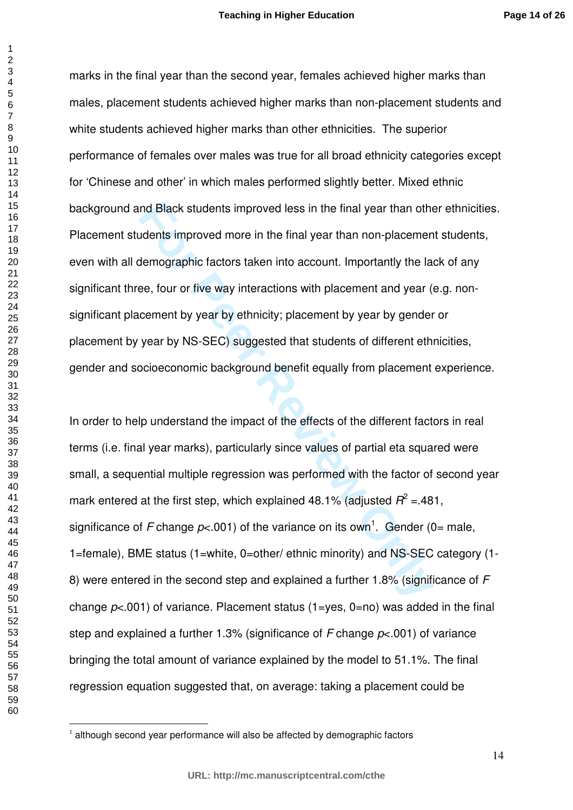marks in the final year than the second year, females achieved higher marks than males, placement students achieved higher marks than non-placement students and white students achieved higher marks than other ethnicities. The superior performance of females over males was true for all broad ethnicity categories except for 'Chinese and other' in which males performed slightly better. Mixed ethnic background and Black students improved less in the final year than other ethnicities. Placement students improved more in the final year than non-placement students, even with all demographic factors taken into account. Importantly the lack of any significant three, four or five way interactions with placement and year (e.g. nonsignificant placement by year by ethnicity; placement by year by gender or placement by year by NS-SEC) suggested that students of different ethnicities, gender and socioeconomic background benefit equally from placement experience.

and Black students improved less in the final year than other<br>udents improved more in the final year than non-placement<br>elemographic factors taken into account. Importantly the late-<br>ee, four or five way interactions with In order to help understand the impact of the effects of the different factors in real terms (i.e. final year marks), particularly since values of partial eta squared were small, a sequential multiple regression was performed with the factor of second year mark entered at the first step, which explained 48.1% (adjusted  $R^2$  = 481, significance of F change  $p< 001$ ) of the variance on its own<sup>1</sup>. Gender (0= male, 1=female), BME status (1=white, 0=other/ ethnic minority) and NS-SEC category (1- 8) were entered in the second step and explained a further 1.8% (significance of *F* change *p*<.001) of variance. Placement status (1=yes, 0=no) was added in the final step and explained a further 1.3% (significance of *F* change *p*<.001) of variance bringing the total amount of variance explained by the model to 51.1%. The final regression equation suggested that, on average: taking a placement could be

l.

although second year performance will also be affected by demographic factors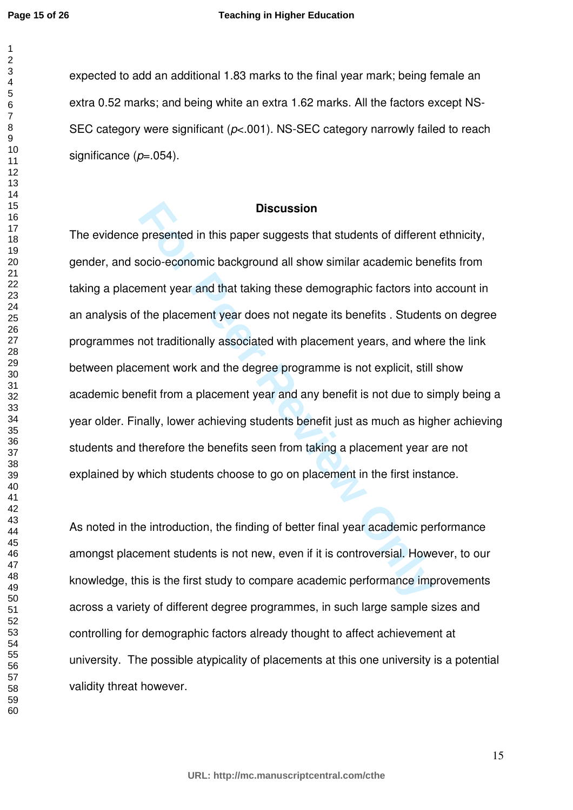#### **Teaching in Higher Education**

expected to add an additional 1.83 marks to the final year mark; being female an extra 0.52 marks; and being white an extra 1.62 marks. All the factors except NS-SEC category were significant (*p*<.001). NS-SEC category narrowly failed to reach significance (*p*=.054).

# **Discussion**

**Example 12 Follogy Follogy Follogy Follogy Follogy Follogy Follogy Follogy Follogy Follogy Follogy Follogy Follogy Follogy Follogy Follogy Follogy Follogy Follogy Follogy Follogy** The evidence presented in this paper suggests that students of different ethnicity, gender, and socio-economic background all show similar academic benefits from taking a placement year and that taking these demographic factors into account in an analysis of the placement year does not negate its benefits . Students on degree programmes not traditionally associated with placement years, and where the link between placement work and the degree programme is not explicit, still show academic benefit from a placement year and any benefit is not due to simply being a year older. Finally, lower achieving students benefit just as much as higher achieving students and therefore the benefits seen from taking a placement year are not explained by which students choose to go on placement in the first instance.

As noted in the introduction, the finding of better final year academic performance amongst placement students is not new, even if it is controversial. However, to our knowledge, this is the first study to compare academic performance improvements across a variety of different degree programmes, in such large sample sizes and controlling for demographic factors already thought to affect achievement at university. The possible atypicality of placements at this one university is a potential validity threat however.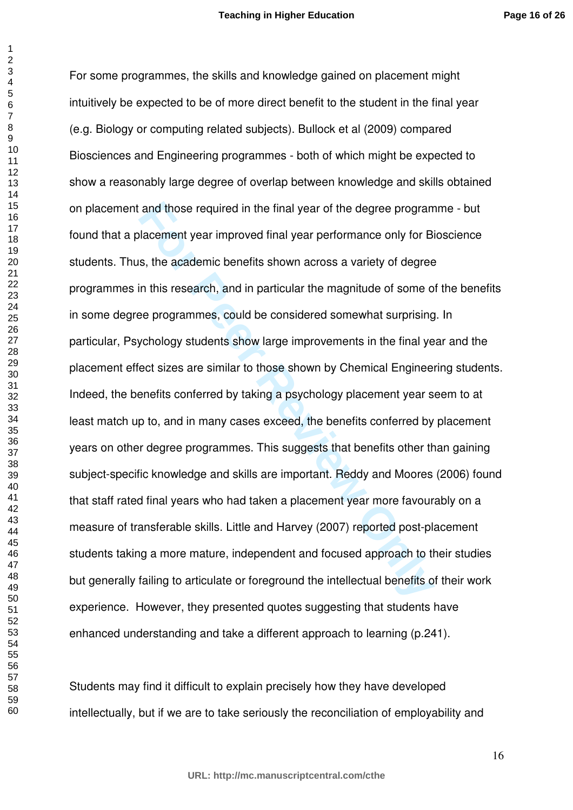and those required in the final year of the degree program<br>Iacement year improved final year performance only for Bi<br>s, the academic benefits shown across a variety of degree<br>in this research, and in particular the magnitu For some programmes, the skills and knowledge gained on placement might intuitively be expected to be of more direct benefit to the student in the final year (e.g. Biology or computing related subjects). Bullock et al (2009) compared Biosciences and Engineering programmes - both of which might be expected to show a reasonably large degree of overlap between knowledge and skills obtained on placement and those required in the final year of the degree programme - but found that a placement year improved final year performance only for Bioscience students. Thus, the academic benefits shown across a variety of degree programmes in this research, and in particular the magnitude of some of the benefits in some degree programmes, could be considered somewhat surprising. In particular, Psychology students show large improvements in the final year and the placement effect sizes are similar to those shown by Chemical Engineering students. Indeed, the benefits conferred by taking a psychology placement year seem to at least match up to, and in many cases exceed, the benefits conferred by placement years on other degree programmes. This suggests that benefits other than gaining subject-specific knowledge and skills are important. Reddy and Moores (2006) found that staff rated final years who had taken a placement year more favourably on a measure of transferable skills. Little and Harvey (2007) reported post-placement students taking a more mature, independent and focused approach to their studies but generally failing to articulate or foreground the intellectual benefits of their work experience. However, they presented quotes suggesting that students have enhanced understanding and take a different approach to learning (p.241).

Students may find it difficult to explain precisely how they have developed intellectually, but if we are to take seriously the reconciliation of employability and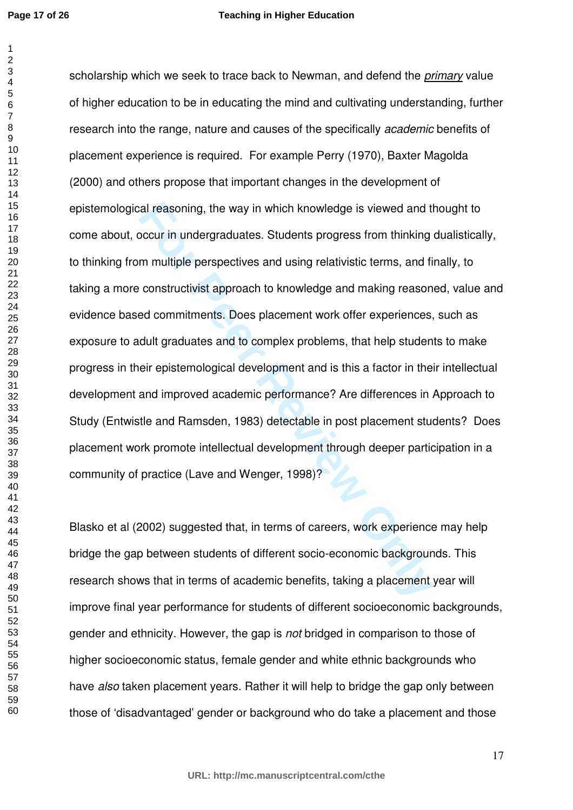**Page 17 of 26**

### **Teaching in Higher Education**

ral reasoning, the way in which knowledge is viewed and the occur in undergraduates. Students progress from thinking on multiple perspectives and using relativistic terms, and file constructivist approach to knowledge and scholarship which we seek to trace back to Newman, and defend the *primary* value of higher education to be in educating the mind and cultivating understanding, further research into the range, nature and causes of the specifically *academic* benefits of placement experience is required. For example Perry (1970), Baxter Magolda (2000) and others propose that important changes in the development of epistemological reasoning, the way in which knowledge is viewed and thought to come about, occur in undergraduates. Students progress from thinking dualistically, to thinking from multiple perspectives and using relativistic terms, and finally, to taking a more constructivist approach to knowledge and making reasoned, value and evidence based commitments. Does placement work offer experiences, such as exposure to adult graduates and to complex problems, that help students to make progress in their epistemological development and is this a factor in their intellectual development and improved academic performance? Are differences in Approach to Study (Entwistle and Ramsden, 1983) detectable in post placement students? Does placement work promote intellectual development through deeper participation in a community of practice (Lave and Wenger, 1998)?

Blasko et al (2002) suggested that, in terms of careers, work experience may help bridge the gap between students of different socio-economic backgrounds. This research shows that in terms of academic benefits, taking a placement year will improve final year performance for students of different socioeconomic backgrounds, gender and ethnicity. However, the gap is *not* bridged in comparison to those of higher socioeconomic status, female gender and white ethnic backgrounds who have *also* taken placement years. Rather it will help to bridge the gap only between those of 'disadvantaged' gender or background who do take a placement and those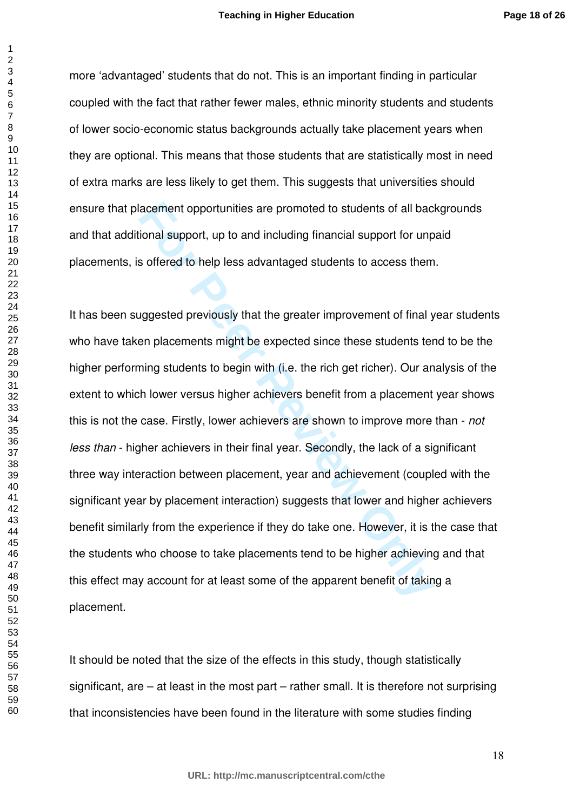more 'advantaged' students that do not. This is an important finding in particular coupled with the fact that rather fewer males, ethnic minority students and students of lower socio-economic status backgrounds actually take placement years when they are optional. This means that those students that are statistically most in need of extra marks are less likely to get them. This suggests that universities should ensure that placement opportunities are promoted to students of all backgrounds and that additional support, up to and including financial support for unpaid placements, is offered to help less advantaged students to access them.

acement opportunities are promoted to students of all bacional support, up to and including financial support for unp<br>s offered to help less advantaged students to access them<br>uggested previously that the greater improveme It has been suggested previously that the greater improvement of final year students who have taken placements might be expected since these students tend to be the higher performing students to begin with (i.e. the rich get richer). Our analysis of the extent to which lower versus higher achievers benefit from a placement year shows this is not the case. Firstly, lower achievers are shown to improve more than - *not less than* - higher achievers in their final year. Secondly, the lack of a significant three way interaction between placement, year and achievement (coupled with the significant year by placement interaction) suggests that lower and higher achievers benefit similarly from the experience if they do take one. However, it is the case that the students who choose to take placements tend to be higher achieving and that this effect may account for at least some of the apparent benefit of taking a placement.

It should be noted that the size of the effects in this study, though statistically significant, are – at least in the most part – rather small. It is therefore not surprising that inconsistencies have been found in the literature with some studies finding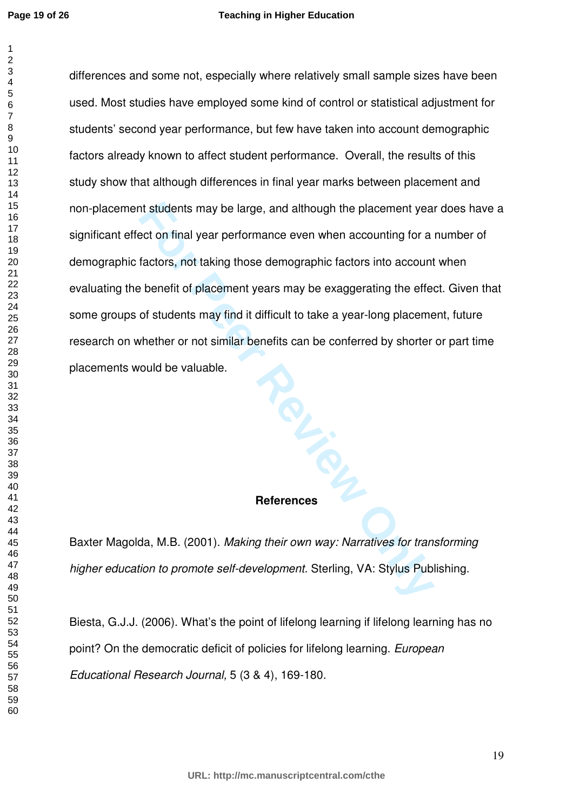#### **Teaching in Higher Education**

**For Peer Review Only** differences and some not, especially where relatively small sample sizes have been used. Most studies have employed some kind of control or statistical adjustment for students' second year performance, but few have taken into account demographic factors already known to affect student performance. Overall, the results of this study show that although differences in final year marks between placement and non-placement students may be large, and although the placement year does have a significant effect on final year performance even when accounting for a number of demographic factors, not taking those demographic factors into account when evaluating the benefit of placement years may be exaggerating the effect. Given that some groups of students may find it difficult to take a year-long placement, future research on whether or not similar benefits can be conferred by shorter or part time placements would be valuable.

# **References**

Baxter Magolda, M.B. (2001). *Making their own way: Narratives for transforming higher education to promote self-development.* Sterling, VA: Stylus Publishing.

Biesta, G.J.J. (2006). What's the point of lifelong learning if lifelong learning has no point? On the democratic deficit of policies for lifelong learning. *European Educational Research Journal,* 5 (3 & 4), 169-180.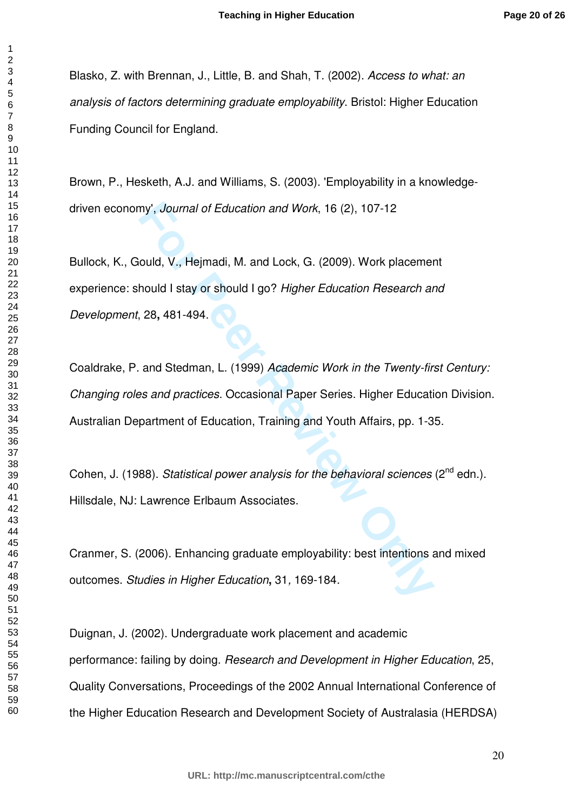Blasko, Z. with Brennan, J., Little, B. and Shah, T. (2002). *Access to what: an analysis of factors determining graduate employability*. Bristol: Higher Education Funding Council for England.

Brown, P., Hesketh, A.J. and Williams, S. (2003). 'Employability in a knowledgedriven economy', *Journal of Education and Work*, 16 (2), 107-12

my', *Journal of Education and Work*, 16 (2), 107-12<br>
auld, V., Hejmadi, M. and Lock, G. (2009). Work placemer<br>
hould I stay or should I go? *Higher Education Research ar*<br>
28, 481-494.<br>
and Stedman, L. (1999) *Academic Wo* Bullock, K., Gould, V., Hejmadi, M. and Lock, G. (2009). Work placement experience: should I stay or should I go? *Higher Education Research and Development*, 28**,** 481-494.

Coaldrake, P. and Stedman, L. (1999) *Academic Work in the Twenty-first Century: Changing roles and practices.* Occasional Paper Series. Higher Education Division. Australian Department of Education, Training and Youth Affairs, pp. 1-35.

Cohen, J. (1988). *Statistical power analysis for the behavioral sciences* (2<sup>nd</sup> edn.). Hillsdale, NJ: Lawrence Erlbaum Associates.

Cranmer, S. (2006). Enhancing graduate employability: best intentions and mixed outcomes. *Studies in Higher Education***,** 31*,* 169-184*.* 

Duignan, J. (2002). Undergraduate work placement and academic performance: failing by doing. *Research and Development in Higher Education*, 25, Quality Conversations, Proceedings of the 2002 Annual International Conference of the Higher Education Research and Development Society of Australasia (HERDSA)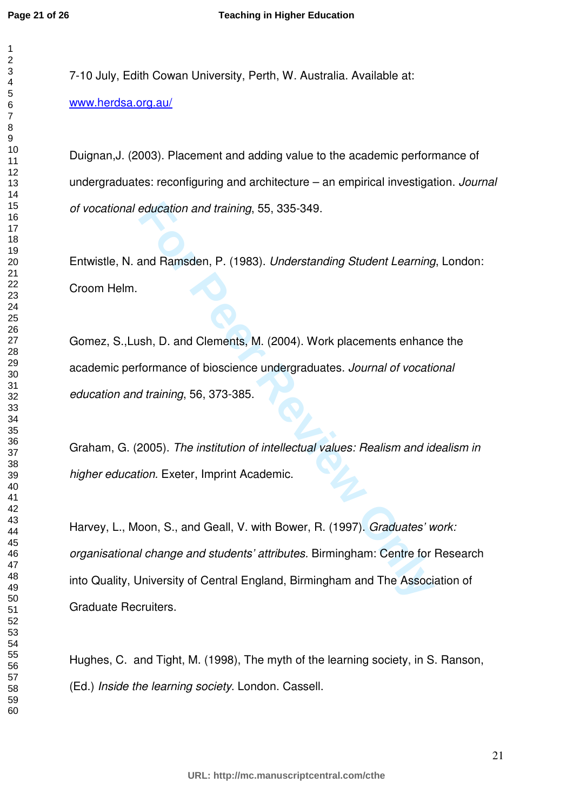7-10 July, Edith Cowan University, Perth, W. Australia. Available at: [www.herdsa.org.au/](http://www.herdsa.org.au/)

Duignan,J. (2003). Placement and adding value to the academic performance of undergraduates: reconfiguring and architecture – an empirical investigation. *Journal of vocational education and training*, 55, 335-349.

Entwistle, N. and Ramsden, P. (1983). *Understanding Student Learning*, London: Croom Helm.

Gomez, S.,Lush, D. and Clements, M. (2004). Work placements enhance the academic performance of bioscience undergraduates. *Journal of vocational education and training*, 56, 373-385.

Graham, G. (2005). *The institution of intellectual values: Realism and idealism in higher education.* Exeter, Imprint Academic.

**For Peer Review Only** Harvey, L., Moon, S., and Geall, V. with Bower, R. (1997). *Graduates' work: organisational change and students' attributes.* Birmingham: Centre for Research into Quality, University of Central England, Birmingham and The Association of Graduate Recruiters.

Hughes, C. and Tight, M. (1998), The myth of the learning society, in S. Ranson, (Ed.) *Inside the learning society*. London. Cassell.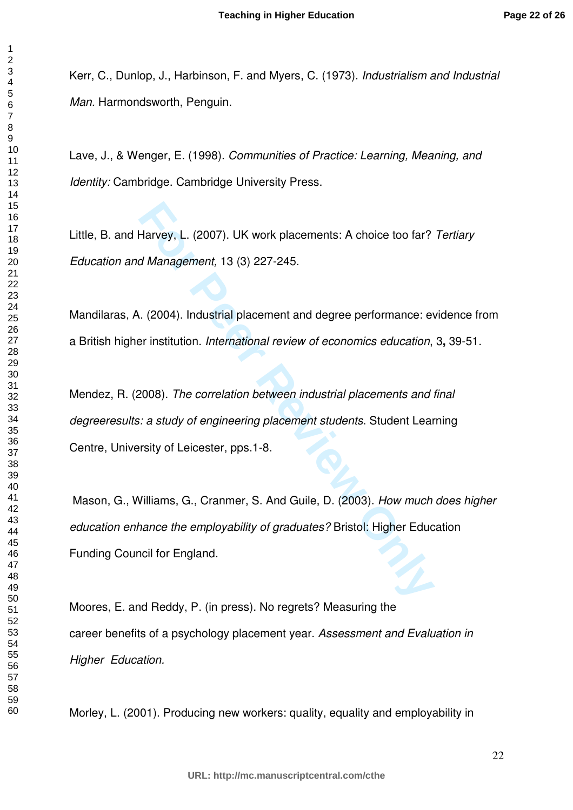Kerr, C., Dunlop, J., Harbinson, F. and Myers, C. (1973). *Industrialism and Industrial Man.* Harmondsworth, Penguin.

Lave, J., & Wenger, E. (1998). *Communities of Practice: Learning, Meaning, and Identity:* Cambridge. Cambridge University Press.

Little, B. and Harvey, L. (2007). UK work placements: A choice too far? *Tertiary Education and Management,* 13 (3) 227-245.

Mandilaras, A. (2004). Industrial placement and degree performance: evidence from a British higher institution. *International review of economics education*, 3**,** 39-51.

Harvey, L. (2007). UK work placements: A choice too far?<br>
Id Management, 13 (3) 227-245.<br>
L. (2004). Industrial placement and degree performance: ever institution. *International review of economics education*,<br>
Per instit Mendez, R. (2008). *The correlation between industrial placements and final degreeresults: a study of engineering placement students*. Student Learning Centre, University of Leicester, pps.1-8.

 Mason, G., Williams, G., Cranmer, S. And Guile, D. (2003). *How much does higher education enhance the employability of graduates?* Bristol: Higher Education Funding Council for England.

Moores, E. and Reddy, P. (in press). No regrets? Measuring the career benefits of a psychology placement year. *Assessment and Evaluation in Higher Education.* 

Morley, L. (2001). Producing new workers: quality, equality and employability in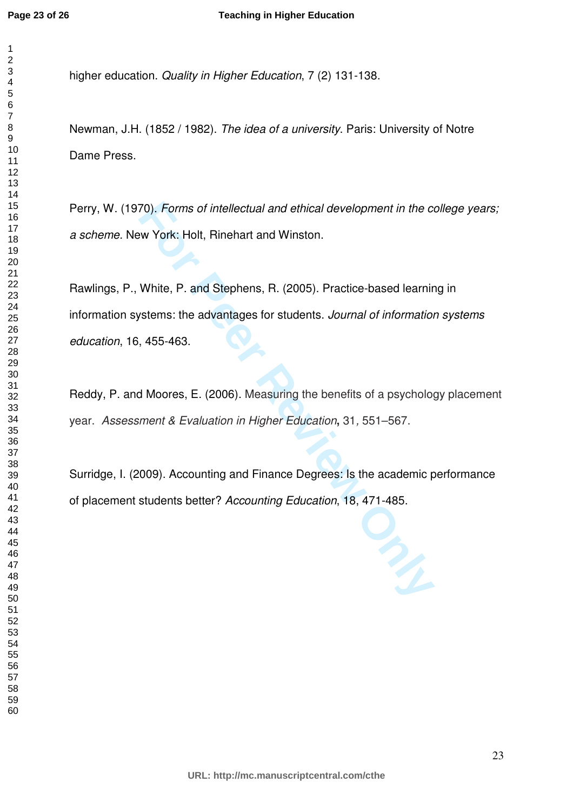higher education. *Quality in Higher Education*, 7 (2) 131-138.

Newman, J.H. (1852 / 1982). *The idea of a university*. Paris: University of Notre Dame Press.

Perry, W. (1970). *Forms of intellectual and ethical development in the college years; a scheme.* New York: Holt, Rinehart and Winston.

70). Forms of intellectual and ethical development in the component of the component of the component and Winston.<br>
White, P. and Stephens, R. (2005). Practice-based learning stems: the advantages for students. *Journal of* Rawlings, P., White, P. and Stephens, R. (2005). Practice-based learning in information systems: the advantages for students. *Journal of information systems education*, 16, 455-463.

Reddy, P. and Moores, E. (2006). Measuring the benefits of a psychology placement year. *Assessment & Evaluation in Higher Education***,** 31*,* 551–567.

Surridge, I. (2009). Accounting and Finance Degrees: Is the academic performance of placement students better? *Accounting Education*, 18, 471-485.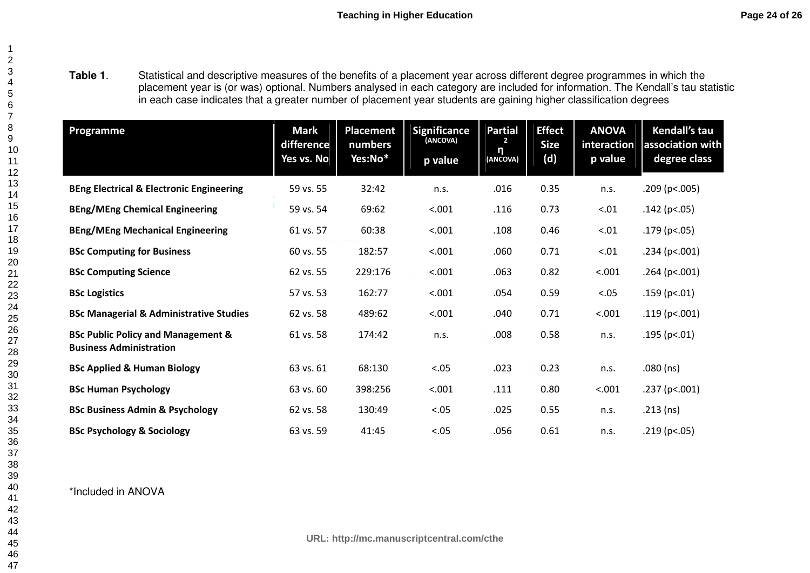**Table 1**. Statistical and descriptive measures of the benefits of a placement year across different degree programmes in which the placement year is (or was) optional. Numbers analysed in each category are included for information. The Kendall's tau statistic<br>in each case indicates that a greater number of placement year students are gaining higher cl

| Programme                                                                       | <b>Mark</b><br>difference<br>Yes vs. No | Placement<br>numbers<br>Yes:No* | <b>Significance</b><br>(ANCOVA)<br>p value | <b>Partial</b><br>$\mathbf{2}$<br>n<br>(ANCOVA) | <b>Effect</b><br><b>Size</b><br>(d) | <b>ANOVA</b><br>interaction<br>p value | Kendall's tau<br>association with<br>degree class |
|---------------------------------------------------------------------------------|-----------------------------------------|---------------------------------|--------------------------------------------|-------------------------------------------------|-------------------------------------|----------------------------------------|---------------------------------------------------|
| <b>BEng Electrical &amp; Electronic Engineering</b>                             | 59 vs. 55                               | 32:42                           | n.s.                                       | .016                                            | 0.35                                | n.s.                                   | .209 (p<.005)                                     |
| <b>BEng/MEng Chemical Engineering</b>                                           | 59 vs. 54                               | 69:62                           | < .001                                     | .116                                            | 0.73                                | < .01                                  | $.142$ (p<.05)                                    |
| <b>BEng/MEng Mechanical Engineering</b>                                         | 61 vs. 57                               | 60:38                           | < .001                                     | .108                                            | 0.46                                | < .01                                  | $.179$ (p<.05)                                    |
| <b>BSc Computing for Business</b>                                               | 60 vs. 55                               | 182:57                          | < .001                                     | .060                                            | 0.71                                | < .01                                  | .234 (p<.001)                                     |
| <b>BSc Computing Science</b>                                                    | 62 vs. 55                               | 229:176                         | < .001                                     | .063                                            | 0.82                                | < .001                                 | $.264$ (p<.001)                                   |
| <b>BSc Logistics</b>                                                            | 57 vs. 53                               | 162:77                          | < .001                                     | .054                                            | 0.59                                | < .05                                  | $.159$ (p<.01)                                    |
| <b>BSc Managerial &amp; Administrative Studies</b>                              | 62 vs. 58                               | 489:62                          | < .001                                     | .040                                            | 0.71                                | < .001                                 | .119 ( $p<.001$ )                                 |
| <b>BSc Public Policy and Management &amp;</b><br><b>Business Administration</b> | 61 vs. 58                               | 174:42                          | n.s.                                       | .008                                            | 0.58                                | n.s.                                   | $.195$ (p<.01)                                    |
| <b>BSc Applied &amp; Human Biology</b>                                          | 63 vs. 61                               | 68:130                          | < .05                                      | .023                                            | 0.23                                | n.s.                                   | $.080$ (ns)                                       |
| <b>BSc Human Psychology</b>                                                     | 63 vs. 60                               | 398:256                         | < .001                                     | .111                                            | 0.80                                | < .001                                 | .237 (p<.001)                                     |
| <b>BSc Business Admin &amp; Psychology</b>                                      | 62 vs. 58                               | 130:49                          | < .05                                      | .025                                            | 0.55                                | n.s.                                   | $.213$ (ns)                                       |
| <b>BSc Psychology &amp; Sociology</b>                                           | 63 vs. 59                               | 41:45                           | < .05                                      | .056                                            | 0.61                                | n.s.                                   | .219 ( $p<.05$ )                                  |

\*Included in ANOVA

**URL: http://mc.manuscriptcentral.com/cthe**